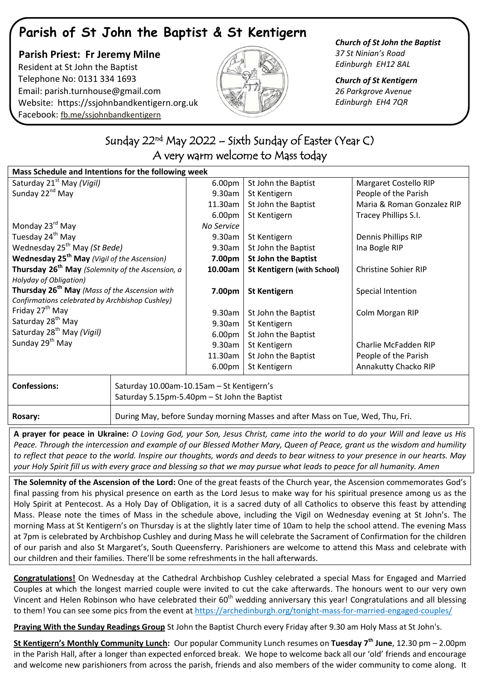# **Parish of St John the Baptist & St Kentigern**

### **Parish Priest: Fr Jeremy Milne** Resident at St John the Baptist Telephone No: 0131 334 1693 Email: [parish.turnhouse@gmail.com](mailto:parish.turnhouse@gmail.com)  Website: [https://ssjohnbandkentigern.org.uk](https://ssjohnbandkentigern.org.uk/) Facebook: [fb.me/ssjohnbandkentigern](https://fb.me/ssjohnbandkentigern)



### *Church of St John the Baptist 37 St Ninian's Road Edinburgh EH12 8AL*

*Church of St Kentigern 26 Parkgrove Avenue Edinburgh EH4 7QR*

## ٦ Sunday 22nd May 2022 – Sixth Sunday of Easter (Year C) A very warm welcome to Mass today

֬

| Mass Schedule and Intentions for the following week              |                                                                                |            |                                   |                             |
|------------------------------------------------------------------|--------------------------------------------------------------------------------|------------|-----------------------------------|-----------------------------|
| Saturday 21 <sup>st</sup> May (Vigil)                            |                                                                                | 6.00pm     | St John the Baptist               | Margaret Costello RIP       |
| Sunday 22 <sup>nd</sup> May                                      |                                                                                | 9.30am     | St Kentigern                      | People of the Parish        |
|                                                                  |                                                                                | 11.30am    | St John the Baptist               | Maria & Roman Gonzalez RIP  |
|                                                                  |                                                                                | 6.00pm     | St Kentigern                      | Tracey Phillips S.I.        |
| Monday 23 <sup>rd</sup> May                                      |                                                                                | No Service |                                   |                             |
| Tuesday 24 <sup>th</sup> May                                     |                                                                                | 9.30am     | St Kentigern                      | Dennis Phillips RIP         |
| Wednesday 25 <sup>th</sup> May (St Bede)                         |                                                                                | 9.30am     | St John the Baptist               | Ina Bogle RIP               |
| Wednesday 25 <sup>th</sup> May (Vigil of the Ascension)          |                                                                                | 7.00pm     | <b>St John the Baptist</b>        |                             |
| Thursday 26 <sup>th</sup> May (Solemnity of the Ascension, a     |                                                                                | 10.00am    | <b>St Kentigern (with School)</b> | <b>Christine Sohier RIP</b> |
| Holyday of Obligation)                                           |                                                                                |            |                                   |                             |
| Thursday 26 <sup>th</sup> May (Mass of the Ascension with        |                                                                                | 7.00pm     | <b>St Kentigern</b>               | Special Intention           |
| Confirmations celebrated by Archbishop Cushley)                  |                                                                                |            |                                   |                             |
| Friday 27 <sup>th</sup> May                                      |                                                                                | 9.30am     | St John the Baptist               | Colm Morgan RIP             |
| Saturday 28 <sup>th</sup> May                                    |                                                                                | 9.30am     | St Kentigern                      |                             |
| Saturday 28 <sup>th</sup> May (Vigil)                            |                                                                                | 6.00pm     | St John the Baptist               |                             |
| Sunday 29 <sup>th</sup> May                                      |                                                                                | 9.30am     | St Kentigern                      | Charlie McFadden RIP        |
|                                                                  |                                                                                | 11.30am    | St John the Baptist               | People of the Parish        |
|                                                                  |                                                                                | 6.00pm     | St Kentigern                      | Annakutty Chacko RIP        |
| <b>Confessions:</b><br>Saturday 10.00am-10.15am - St Kentigern's |                                                                                |            |                                   |                             |
|                                                                  | Saturday 5.15pm-5.40pm - St John the Baptist                                   |            |                                   |                             |
| Rosary:                                                          | During May, before Sunday morning Masses and after Mass on Tue, Wed, Thu, Fri. |            |                                   |                             |

**A prayer for peace in Ukraine:** *O Loving God, your Son, Jesus Christ, came into the world to do your Will and leave us His Peace. Through the intercession and example of our Blessed Mother Mary, Queen of Peace, grant us the wisdom and humility to reflect that peace to the world. Inspire our thoughts, words and deeds to bear witness to your presence in our hearts. May your Holy Spirit fill us with every grace and blessing so that we may pursue what leads to peace for all humanity. Amen*

**The Solemnity of the Ascension of the Lord:** One of the great feasts of the Church year, the Ascension commemorates God's final passing from his physical presence on earth as the Lord Jesus to make way for his spiritual presence among us as the Holy Spirit at Pentecost. As a Holy Day of Obligation, it is a sacred duty of all Catholics to observe this feast by attending Mass. Please note the times of Mass in the schedule above, including the Vigil on Wednesday evening at St John's. The morning Mass at St Kentigern's on Thursday is at the slightly later time of 10am to help the school attend. The evening Mass at 7pm is celebrated by Archbishop Cushley and during Mass he will celebrate the Sacrament of Confirmation for the children of our parish and also St Margaret's, South Queensferry. Parishioners are welcome to attend this Mass and celebrate with our children and their families. There'll be some refreshments in the hall afterwards.

**Congratulations!** On Wednesday at the Cathedral Archbishop Cushley celebrated a special Mass for Engaged and Married Couples at which the longest married couple were invited to cut the cake afterwards. The honours went to our very own Vincent and Helen Robinson who have celebrated their  $60<sup>th</sup>$  wedding anniversary this year! Congratulations and all blessing to them! You can see some pics from the event a[t https://archedinburgh.org/tonight-mass-for-married-engaged-couples/](https://archedinburgh.org/tonight-mass-for-married-engaged-couples/)

**Praying With the Sunday Readings Group** St John the Baptist Church every Friday after 9.30 am Holy Mass at St John's.

**St Kentigern's Monthly Community Lunch:** Our popular Community Lunch resumes on **Tuesday 7th June**, 12.30 pm – 2.00pm in the Parish Hall, after a longer than expected enforced break. We hope to welcome back all our 'old' friends and encourage and welcome new parishioners from across the parish, friends and also members of the wider community to come along. It